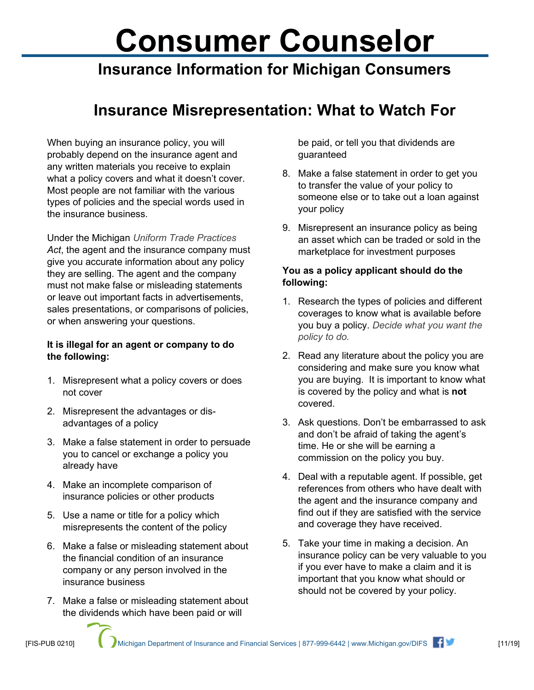# **Consumer Counselor**

## **Insurance Information for Michigan Consumers**

### **Insurance Misrepresentation: What to Watch For**

When buying an insurance policy, you will probably depend on the insurance agent and any written materials you receive to explain what a policy covers and what it doesn't cover. Most people are not familiar with the various types of policies and the special words used in the insurance business.

Under the Michigan *Uniform Trade Practices Act*, the agent and the insurance company must give you accurate information about any policy they are selling. The agent and the company must not make false or misleading statements or leave out important facts in advertisements, sales presentations, or comparisons of policies, or when answering your questions.

#### **It is illegal for an agent or company to do the following:**

- 1. Misrepresent what a policy covers or does not cover
- 2. Misrepresent the advantages or disadvantages of a policy
- 3. Make a false statement in order to persuade you to cancel or exchange a policy you already have
- 4. Make an incomplete comparison of insurance policies or other products
- 5. Use a name or title for a policy which misrepresents the content of the policy
- 6. Make a false or misleading statement about the financial condition of an insurance company or any person involved in the insurance business
- 7. Make a false or misleading statement about the dividends which have been paid or will

be paid, or tell you that dividends are guaranteed

- 8. Make a false statement in order to get you to transfer the value of your policy to someone else or to take out a loan against your policy
- 9. Misrepresent an insurance policy as being an asset which can be traded or sold in the marketplace for investment purposes

#### **You as a policy applicant should do the following:**

- 1. Research the types of policies and different coverages to know what is available before you buy a policy. *Decide what you want the policy to do.*
- 2. Read any literature about the policy you are considering and make sure you know what you are buying. It is important to know what is covered by the policy and what is **not** covered.
- 3. Ask questions. Don't be embarrassed to ask and don't be afraid of taking the agent's time. He or she will be earning a commission on the policy you buy.
- 4. Deal with a reputable agent. If possible, get references from others who have dealt with the agent and the insurance company and find out if they are satisfied with the service and coverage they have received.
- 5. Take your time in making a decision. An insurance policy can be very valuable to you if you ever have to make a claim and it is important that you know what should or should not be covered by your policy.